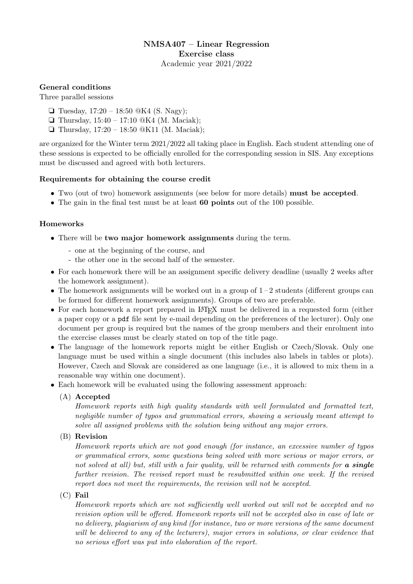# NMSA407 – Linear Regression Exercise class Academic year 2021/2022

# General conditions

Three parallel sessions

- ❏ Tuesday, 17:20 18:50 @K4 (S. Nagy);
- ❏ Thursday, 15:40 17:10 @K4 (M. Maciak);
- ❏ Thursday, 17:20 18:50 @K11 (M. Maciak);

are organized for the Winter term 2021/2022 all taking place in English. Each student attending one of these sessions is expected to be officially enrolled for the corresponding session in SIS. Any exceptions must be discussed and agreed with both lecturers.

### Requirements for obtaining the course credit

- Two (out of two) homework assignments (see below for more details) must be accepted.
- The gain in the final test must be at least 60 points out of the 100 possible.

### Homeworks

- There will be two major homework assignments during the term.
	- one at the beginning of the course, and
	- the other one in the second half of the semester.
- For each homework there will be an assignment specific delivery deadline (usually 2 weeks after the homework assignment).
- The homework assignments will be worked out in a group of  $1-2$  students (different groups can be formed for different homework assignments). Groups of two are preferable.
- For each homework a report prepared in LAT<sub>EX</sub> must be delivered in a requested form (either a paper copy or a pdf file sent by e-mail depending on the preferences of the lecturer). Only one document per group is required but the names of the group members and their enrolment into the exercise classes must be clearly stated on top of the title page.
- The language of the homework reports might be either English or Czech/Slovak. Only one language must be used within a single document (this includes also labels in tables or plots). However, Czech and Slovak are considered as one language (i.e., it is allowed to mix them in a reasonable way within one document).
- Each homework will be evaluated using the following assessment approach:
	- (A) Accepted

Homework reports with high quality standards with well formulated and formatted text, negligible number of typos and grammatical errors, showing a seriously meant attempt to solve all assigned problems with the solution being without any major errors.

(B) Revision

Homework reports which are not good enough (for instance, an excessive number of typos or grammatical errors, some questions being solved with more serious or major errors, or not solved at all) but, still with a fair quality, will be returned with comments for **a single** further revision. The revised report must be resubmitted within one week. If the revised report does not meet the requirements, the revision will not be accepted.

(C) Fail

Homework reports which are not sufficiently well worked out will not be accepted and no revision option will be offered. Homework reports will not be accepted also in case of late or no delivery, plagiarism of any kind (for instance, two or more versions of the same document will be delivered to any of the lecturers), major errors in solutions, or clear evidence that no serious effort was put into elaboration of the report.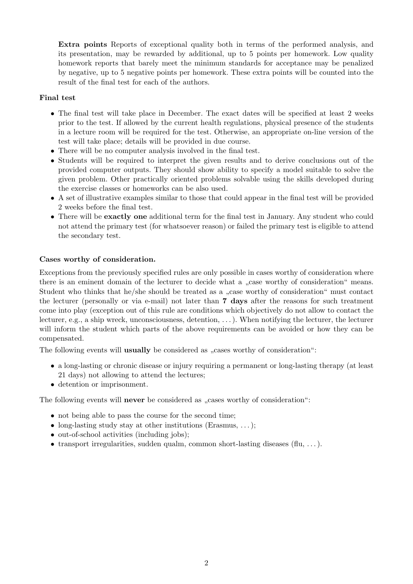Extra points Reports of exceptional quality both in terms of the performed analysis, and its presentation, may be rewarded by additional, up to 5 points per homework. Low quality homework reports that barely meet the minimum standards for acceptance may be penalized by negative, up to 5 negative points per homework. These extra points will be counted into the result of the final test for each of the authors.

# Final test

- The final test will take place in December. The exact dates will be specified at least 2 weeks prior to the test. If allowed by the current health regulations, physical presence of the students in a lecture room will be required for the test. Otherwise, an appropriate on-line version of the test will take place; details will be provided in due course.
- There will be no computer analysis involved in the final test.
- Students will be required to interpret the given results and to derive conclusions out of the provided computer outputs. They should show ability to specify a model suitable to solve the given problem. Other practically oriented problems solvable using the skills developed during the exercise classes or homeworks can be also used.
- A set of illustrative examples similar to those that could appear in the final test will be provided 2 weeks before the final test.
- There will be **exactly one** additional term for the final test in January. Any student who could not attend the primary test (for whatsoever reason) or failed the primary test is eligible to attend the secondary test.

### Cases worthy of consideration.

Exceptions from the previously specified rules are only possible in cases worthy of consideration where there is an eminent domain of the lecturer to decide what a "case worthy of consideration" means. Student who thinks that he/she should be treated as a "case worthy of consideration" must contact the lecturer (personally or via e-mail) not later than 7 days after the reasons for such treatment come into play (exception out of this rule are conditions which objectively do not allow to contact the lecturer, e.g., a ship wreck, unconsciousness, detention, . . . ). When notifying the lecturer, the lecturer will inform the student which parts of the above requirements can be avoided or how they can be compensated.

The following events will **usually** be considered as "cases worthy of consideration":

- a long-lasting or chronic disease or injury requiring a permanent or long-lasting therapy (at least 21 days) not allowing to attend the lectures;
- detention or imprisonment.

The following events will **never** be considered as "cases worthy of consideration":

- not being able to pass the course for the second time;
- long-lasting study stay at other institutions (Erasmus,  $\dots$ );
- out-of-school activities (including jobs);
- transport irregularities, sudden qualm, common short-lasting diseases  $(\text{flu}, \ldots)$ .